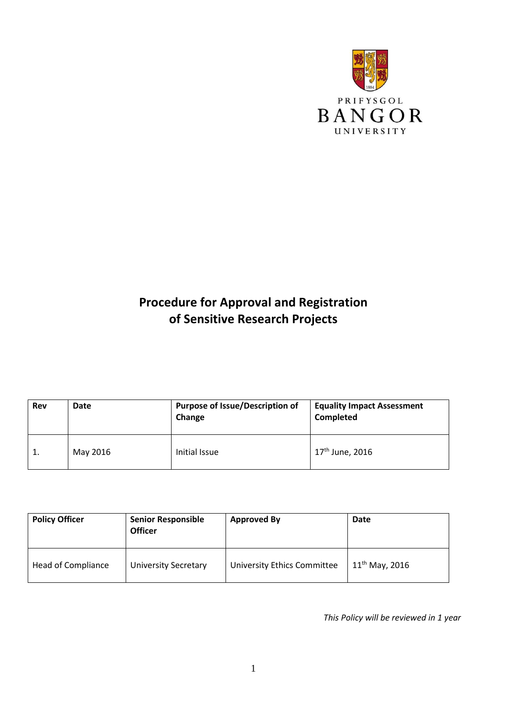

# **Procedure for Approval and Registration of Sensitive Research Projects**

| Rev | Date     | <b>Purpose of Issue/Description of</b><br>Change | <b>Equality Impact Assessment</b><br>Completed |
|-----|----------|--------------------------------------------------|------------------------------------------------|
|     | May 2016 | Initial Issue                                    | 17 <sup>th</sup> June, 2016                    |

| <b>Policy Officer</b> | <b>Senior Responsible</b><br><b>Officer</b> | <b>Approved By</b>                 | Date                |
|-----------------------|---------------------------------------------|------------------------------------|---------------------|
| Head of Compliance    | <b>University Secretary</b>                 | <b>University Ethics Committee</b> | $11^{th}$ May, 2016 |

*This Policy will be reviewed in 1 year*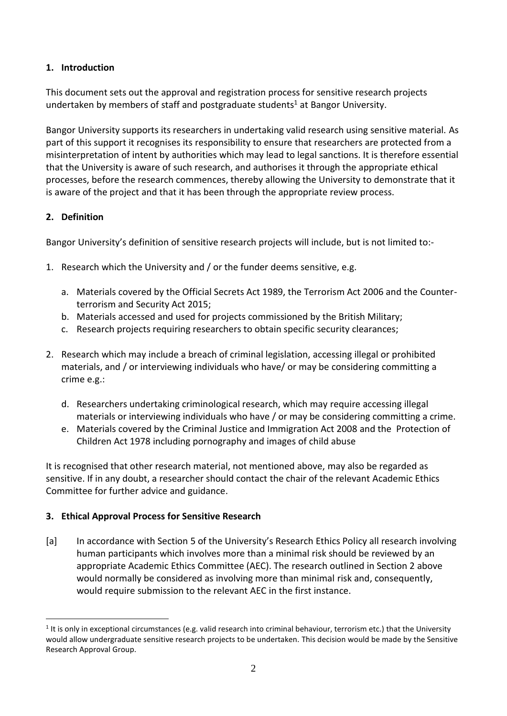## **1. Introduction**

This document sets out the approval and registration process for sensitive research projects undertaken by members of staff and postgraduate students<sup>1</sup> at Bangor University.

Bangor University supports its researchers in undertaking valid research using sensitive material. As part of this support it recognises its responsibility to ensure that researchers are protected from a misinterpretation of intent by authorities which may lead to legal sanctions. It is therefore essential that the University is aware of such research, and authorises it through the appropriate ethical processes, before the research commences, thereby allowing the University to demonstrate that it is aware of the project and that it has been through the appropriate review process.

# **2. Definition**

1

Bangor University's definition of sensitive research projects will include, but is not limited to:-

- 1. Research which the University and / or the funder deems sensitive, e.g.
	- a. Materials covered by the Official Secrets Act 1989, the Terrorism Act 2006 and the Counterterrorism and Security Act 2015;
	- b. Materials accessed and used for projects commissioned by the British Military;
	- c. Research projects requiring researchers to obtain specific security clearances;
- 2. Research which may include a breach of criminal legislation, accessing illegal or prohibited materials, and / or interviewing individuals who have/ or may be considering committing a crime e.g.:
	- d. Researchers undertaking criminological research, which may require accessing illegal materials or interviewing individuals who have / or may be considering committing a crime.
	- e. Materials covered by the Criminal Justice and Immigration Act 2008 and the Protection of Children Act 1978 including pornography and images of child abuse

It is recognised that other research material, not mentioned above, may also be regarded as sensitive. If in any doubt, a researcher should contact the chair of the relevant Academic Ethics Committee for further advice and guidance.

# **3. Ethical Approval Process for Sensitive Research**

[a] In accordance with Section 5 of the University's Research Ethics Policy all research involving human participants which involves more than a minimal risk should be reviewed by an appropriate Academic Ethics Committee (AEC). The research outlined in Section 2 above would normally be considered as involving more than minimal risk and, consequently, would require submission to the relevant AEC in the first instance.

 $1$  It is only in exceptional circumstances (e.g. valid research into criminal behaviour, terrorism etc.) that the University would allow undergraduate sensitive research projects to be undertaken. This decision would be made by the Sensitive Research Approval Group.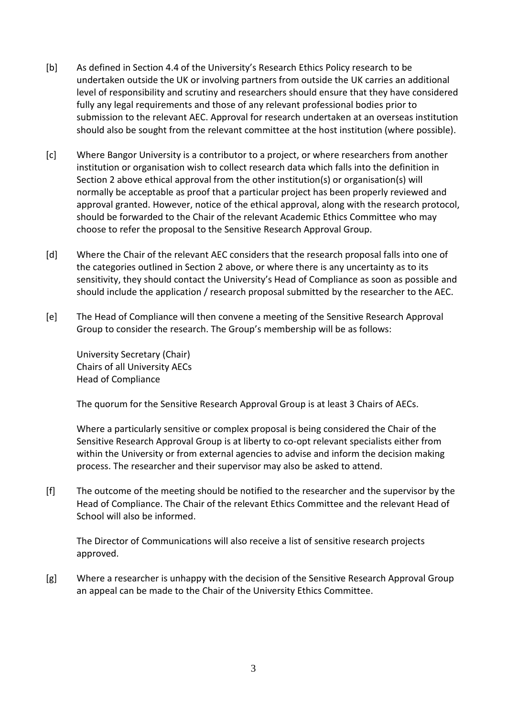- [b] As defined in Section 4.4 of the University's Research Ethics Policy research to be undertaken outside the UK or involving partners from outside the UK carries an additional level of responsibility and scrutiny and researchers should ensure that they have considered fully any legal requirements and those of any relevant professional bodies prior to submission to the relevant AEC. Approval for research undertaken at an overseas institution should also be sought from the relevant committee at the host institution (where possible).
- [c] Where Bangor University is a contributor to a project, or where researchers from another institution or organisation wish to collect research data which falls into the definition in Section 2 above ethical approval from the other institution(s) or organisation(s) will normally be acceptable as proof that a particular project has been properly reviewed and approval granted. However, notice of the ethical approval, along with the research protocol, should be forwarded to the Chair of the relevant Academic Ethics Committee who may choose to refer the proposal to the Sensitive Research Approval Group.
- [d] Where the Chair of the relevant AEC considers that the research proposal falls into one of the categories outlined in Section 2 above, or where there is any uncertainty as to its sensitivity, they should contact the University's Head of Compliance as soon as possible and should include the application / research proposal submitted by the researcher to the AEC.
- [e] The Head of Compliance will then convene a meeting of the Sensitive Research Approval Group to consider the research. The Group's membership will be as follows:

University Secretary (Chair) Chairs of all University AECs Head of Compliance

The quorum for the Sensitive Research Approval Group is at least 3 Chairs of AECs.

Where a particularly sensitive or complex proposal is being considered the Chair of the Sensitive Research Approval Group is at liberty to co-opt relevant specialists either from within the University or from external agencies to advise and inform the decision making process. The researcher and their supervisor may also be asked to attend.

[f] The outcome of the meeting should be notified to the researcher and the supervisor by the Head of Compliance. The Chair of the relevant Ethics Committee and the relevant Head of School will also be informed.

The Director of Communications will also receive a list of sensitive research projects approved.

[g] Where a researcher is unhappy with the decision of the Sensitive Research Approval Group an appeal can be made to the Chair of the University Ethics Committee.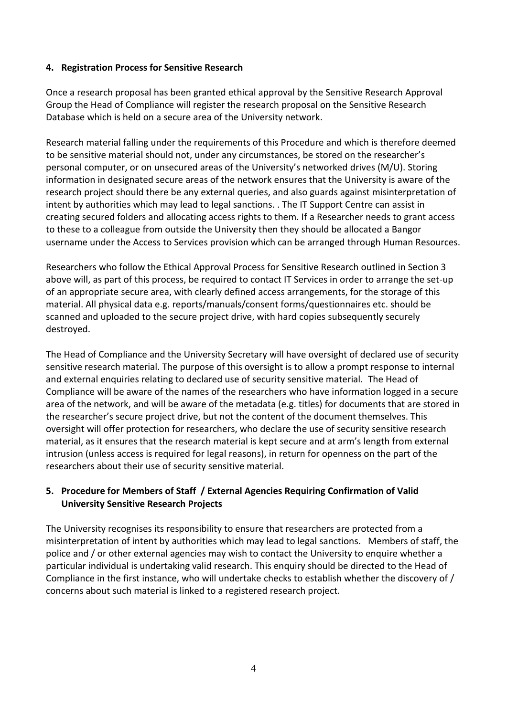#### **4. Registration Process for Sensitive Research**

Once a research proposal has been granted ethical approval by the Sensitive Research Approval Group the Head of Compliance will register the research proposal on the Sensitive Research Database which is held on a secure area of the University network.

Research material falling under the requirements of this Procedure and which is therefore deemed to be sensitive material should not, under any circumstances, be stored on the researcher's personal computer, or on unsecured areas of the University's networked drives (M/U). Storing information in designated secure areas of the network ensures that the University is aware of the research project should there be any external queries, and also guards against misinterpretation of intent by authorities which may lead to legal sanctions. . The IT Support Centre can assist in creating secured folders and allocating access rights to them. If a Researcher needs to grant access to these to a colleague from outside the University then they should be allocated a Bangor username under the Access to Services provision which can be arranged through Human Resources.

Researchers who follow the Ethical Approval Process for Sensitive Research outlined in Section 3 above will, as part of this process, be required to contact IT Services in order to arrange the set-up of an appropriate secure area, with clearly defined access arrangements, for the storage of this material. All physical data e.g. reports/manuals/consent forms/questionnaires etc. should be scanned and uploaded to the secure project drive, with hard copies subsequently securely destroyed.

The Head of Compliance and the University Secretary will have oversight of declared use of security sensitive research material. The purpose of this oversight is to allow a prompt response to internal and external enquiries relating to declared use of security sensitive material. The Head of Compliance will be aware of the names of the researchers who have information logged in a secure area of the network, and will be aware of the metadata (e.g. titles) for documents that are stored in the researcher's secure project drive, but not the content of the document themselves. This oversight will offer protection for researchers, who declare the use of security sensitive research material, as it ensures that the research material is kept secure and at arm's length from external intrusion (unless access is required for legal reasons), in return for openness on the part of the researchers about their use of security sensitive material.

#### **5. Procedure for Members of Staff / External Agencies Requiring Confirmation of Valid University Sensitive Research Projects**

The University recognises its responsibility to ensure that researchers are protected from a misinterpretation of intent by authorities which may lead to legal sanctions. Members of staff, the police and / or other external agencies may wish to contact the University to enquire whether a particular individual is undertaking valid research. This enquiry should be directed to the Head of Compliance in the first instance, who will undertake checks to establish whether the discovery of / concerns about such material is linked to a registered research project.